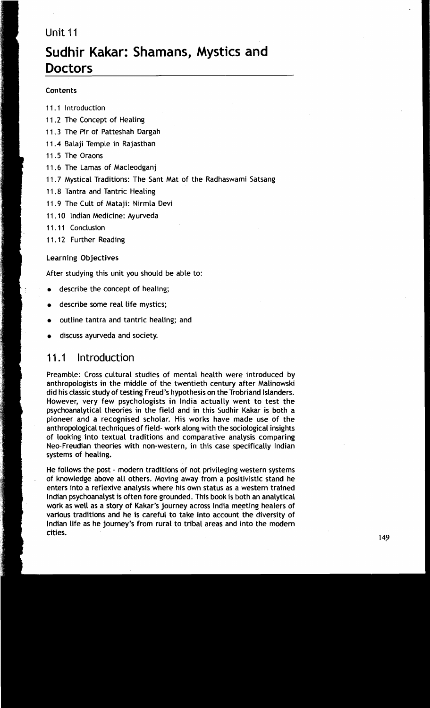# Unit 11

# **Sudhir Kakar: Shamans, Mystics and Doctors**

#### Contents

- 11.1 lntroduction
- 11.2 The Concept of Healing
- 11.3 The Pir of Patteshah Dargah
- 11.4 Balaji Temple in Rajasthan
- 11.5 The Oraons
- 11.6 The Lamas of Macleodganj
- 11.7 Mystical Traditions: The Sant Mat of the Radhaswami Satsang
- 11.8 Tantra and Tantric Healing
- 11.9 The Cult of Mataji: Nirmla Devi
- 11.10 Indian Medicine: Ayurveda
- 11.11 Conclusion
- 11.12 Further Reading

#### Learning Objectives

After studying this unit you should be able to:

- describe the concept of healing;
- describe some real life mystics;
- outline tantra and tantric healing; and
- discuss ayurveda and society.

# <sup>1</sup>**1** .I lntroduction

Preamble: Cross-cultural studies of mental health were introduced by anthropologists in the middle of the twentieth century after Malinowski did his classic study of testing Freud's hypothesis on the Trobriand Islanders. However, very few psychologists in lndia actually went to test the psychoanalytical theories in the field and in this Sudhir Kakar is both a pioneer and a recognised scholar. His works have made use of the anthropological techniques of field- work along with the sociological insights of looking into textual traditions and comparative analysis comparing Neo-Freudian theories with non-western, in this case specifically lndian systems of healing.

He follows the post - modern traditions of not privileging western systems of knowledge above all others. Moving away from a positivistic stand he enters into a reflexive analysis where his own status as a western trained lndian psychoanalyst is often fore grounded. This book is both an analytical work as well as a story of Kakar's journey across lndia meeting healers of various traditions and he is careful to take into account the diversity of lndian life as he journey's from rural to tribal areas and into the modern cities.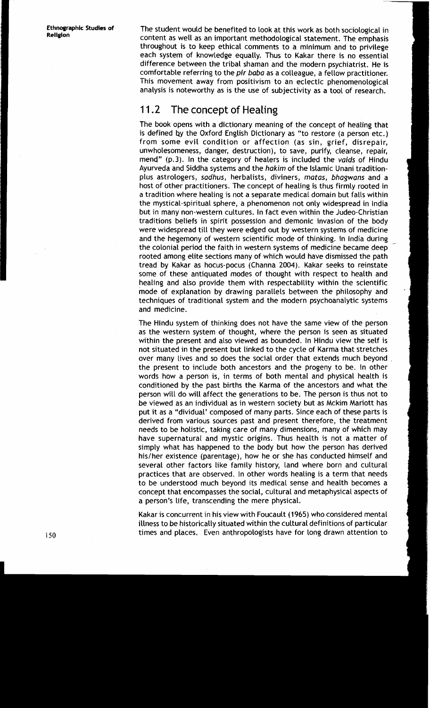**Ethnographic Studies of Religion** 

The student would be benefited to look at this work as both sociological in content as well as an important methodological statement. The emphasis throughout is to keep ethical comments to a minimum and to privilege each system of knowledge equally. Thus to Kakar there is no essential difference between the tribal shaman and the modern psychiatrist. He is comfortable referring to the **pir** baba as a colleague, a fellow practitioner. This movement away from positivism to an eclectic phenomenological analysis is noteworthy as is the use of subjectivity as a tool of research.

# 11.2 The concept of Healing

The book opens with a dictionary meaning of the concept of healing that is defined by the Oxford English Dictionary as "to restore (a person etc.) from some evil condition or affection (as sin, grief, disrepair, unwholesomeness, danger, destruction), to save, purify, cleanse, repair, mend" (p.3). In the category of healers is included the vaids of Hindu Ayurveda and Siddha systems and the hakim of the Islamic Unani traditionplus astrologers, sadhus, herbalists, diviners, matas, bhagwans and a host of other practitioners. The concept of healing is thus firmly rooted in a tradition where healing is not a separate medical domain but falls within the mystical-spiritual sphere, a phenomenon not only widespread in lndia but in many non-western cultures. In fact even within the Judeo-Christian traditions beliefs in spirit possession and demonic invasion of the body were widespread till they were edged out by western systems of medicine and the hegemony of western scientific mode of thinking. In lndia during the colonial period the faith in western systems of medicine became deep rooted among elite sections many of which would have dismissed the path tread by Kakar as hocus-pocus (Channa 2004). Kakar seeks to reinstate some of these antiquated modes of thought with respect to health and healing and also provide them with respectability within the scientific mode of explanation by drawing parallels between the philosophy and ' techniques of traditional system and the modern psychoanalytic systems and medicine.

The Hindu system of thinking does not have the same view of the person as the western system of thought, where the person is seen as situated within the present and also viewed as bounded. In Hindu view the self is not situated in the present but linked to the cycle of Karma that stretches over many lives and so does the social order that extends much beyond the present to include both ancestors and the progeny to be. In other words how a person is, in terms of both mental and physical health is conditioned by the past births the Karma of the ancestors and what the person will do will affect the generations to be. The person is thus not to be viewed as an individual as in western society but as Mckim Mariott has put it as a "dividual' composed of many parts. Since each of these parts is derived from various sources past and present therefore, the treatment needs to be holistic, taking care of many dimensions, many of which may have supernatural and mystic origins. Thus health is not a matter of simply what has happened to the body but how the person has derived his/her existence (parentage), how he or she has conducted himself and several other factors like family history, Land where born and cultural practices that are observed. In other words healing is a term that needs to be understood much beyond its medical sense and health becomes a concept that encompasses the social, cultural and metaphysical aspects of a person's life, transcending the mere physical.

Kakar is concurrent in his view with Foucault (1965) who considered mental illness to be historically situated within the cultural definitions of particular times and places. Even anthropologists have for long drawn attention to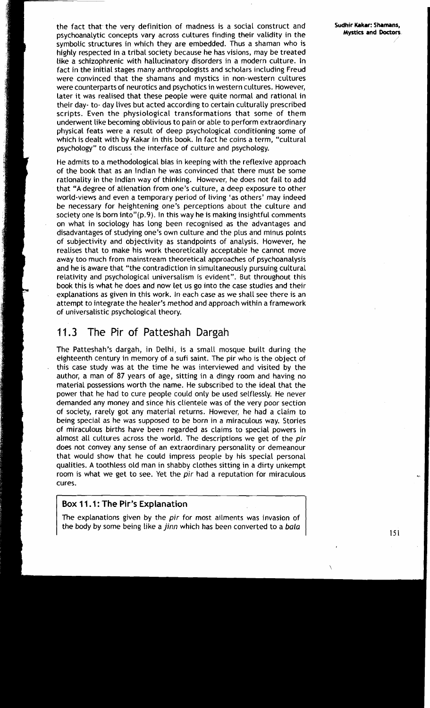the fact that the very definition of madness is a social construct and **Sudhir Kakar: Shamans,**  psychoanalytic concepts vary across cultures finding their validity in the symbolic structures in which they are embedded. Thus a shaman who is highly respected in a tribal society because he has visions, may be treated like a schizophrenic with hallucinatory disorders in a modern culture. In fact in the initial stages many anthropologists and scholars including Freud were convinced that the shamans and mystics in non-western cultures were counterparts of neurotics and psychotics in western cultures. However, later it was realised that these people were quite normal and rational in their day- to- day lives but acted according to certain culturally prescribed scripts. Even the physiological transformations that some of them underwent like becoming oblivious to pain or able to perform extraordinary physical feats were a result of deep psychological conditioning some of which is dealt with by Kakar in this book. In fact he coins a term, "cultural psychology" to discuss the interface of culture and psychology.

He admits to a methodological bias in keeping with the reflexive approach of the book that as an Indian he was convinced that there must be some rationality in the Indian way of thinking. However, he does not fail to add that "A degree of alienation from one's culture, a deep exposure to other world-views and even a temporary period of living 'as others' may indeed be necessary for heightening one's perceptions about the culture and society one is born into" $(p, 9)$ . In this way he is making insightful comments on what in sociology has long been recognised as the advantages and disadvantages of studying one's own culture and the plus and minus points of subjectivity and objectivity as standpoints of analysis. However, he realises that to make his work theoretically acceptable he cannot move away too much from mainstream theoretical approaches of psychoanalysis and he is aware that "the contradiction in simultaneously pursuing cultural relativity and psychological universalism is evident". But throughout this book this is what he does and now let us go into the case studies and their explanations as given in this work. In each case as we shall see there is an attempt to integrate the healer's method and approach within a framework of universalistic psychological theory.

# 11.3 The Pir of Patteshah Dargah

The Patteshah's dargah, in Delhi, is a small mosque built during the eighteenth century in memory of a sufi saint. The pir who is the object of this case study was at the time he was interviewed and visited by the author, a man of 87 years of age, sitting in a dingy room and having no material possessions worth the name. He subscribed to the ideal that the power that he had to cure people could only be used selflessly. He never demanded any money and since his clientele was of the very poor section of society, rarely got any material returns. However, he had a claim to being special as he was supposed to be born in a miraculous way. Stories of miraculous births have been regarded as claims to special powers in almost all cultures across the world. The descriptions we get of the **pir**  does not convey any sense of an extraordinary personality or demeanour that would show that he could impress people by his special personal qualities. A toothless old man in shabby clothes sitting in a dirty unkempt room is what we get to see. Yet the **pir** had a reputation for miraculous cures.<br>**Box 11.1: The Pir's Explanation** 

The explanations given by the **pir** for most ailments was invasion of the body by some being Like a jinn which has been converted to a **bala**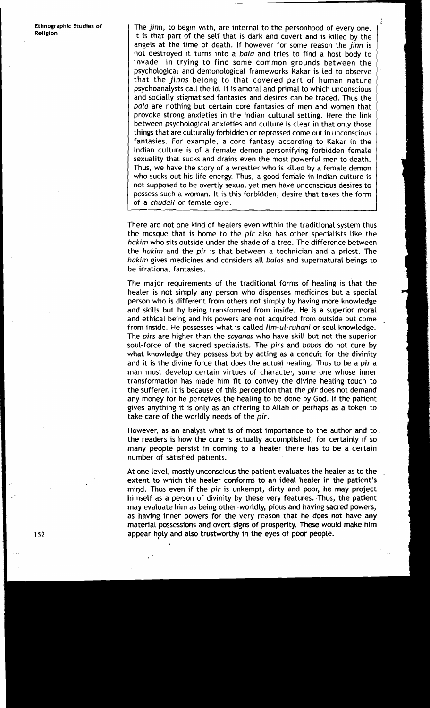Ethnographic Studies of The **jinn,** to begin with, are internal to the personhood of every one. It is that part of the self that is dark and covert and is killed by the angels at the time of death. If however for some reason the **jinn** is not destroyed it turns into a **bala** and tries to find a host body to invade. In trying to find some common grounds between the psychological and demonological frameworks Kakar is led to observe that the **jinns** belong to that covered part of human nature psychoanalysts call the id. It is amoral and primal to which unconscious and socially stigmatised fantasies and desires can be traced. Thus the **bala** are nothing but certain core fantasies of men and women that provoke strong anxieties in the Indian cultural setting. Here the link between psychological anxieties and culture is clear in that only those things that are culturally forbidden or repressed come out in unconscious fantasies. For example, a core fantasy according to Kakar in the lndian culture is of a female demon personifying forbidden female sexuality that sucks and drains even the most powerful men to death. Thus, we have the story of a wrestler who is killed by a female demon who sucks out his life energy. Thus, a good female in lndian culture is not supposed to be overtly sexual yet men have unconscious desires to possess such a woman. It is this forbidden, desire that takes the form of a **chudail** or female ogre.

> There are not one kind of healers even within the traditional system thus the mosque that is home to the **pir** also has other specialists like the **hakim** who sits outside under the shade of a tree. The difference between the **hakim** and the **pir** is that between a technician and a priest. The **hakim** gives medicines and considers all **balas** and supernatural beings to be irrational fantasies.

> The major requirements of the traditional forms of healing is that the healer is not simply any person who dispenses medicines but a special person who is different from others not simply by having more knowledge and skills but by being transformed from inside. He is a superior moral and ethical being and his powers are not acquired from outside but come from inside. He possesses what is called **Ilm-ul-ruhani** or soul knowledge. The **pirs** are higher than the **sayanas** who have skill but not the superior soul-force of the sacred specialists. The **pirs** and **babas** do not cure by what knowledge they possess but by acting as a conduit for the divinity and it is the divine force that does the actual healing. Thus to be a **pir** <sup>a</sup> man must develop certain virtues of character, some one whose inner transformation has made him fit to convey the divine healing touch to the sufferer. It is because of this perception that the **pir** does not demand any money for he perceives the healing to be done by God. If the patient gives anything it is only as an offering to Allah or perhaps as a token to take care of the worldly needs of the **pir.**

> However, as an analyst what is of most importance to the author and to. the readers is how the cure is actually accomplished, for certainly if so many people persist in coming to a healer there has to be a certain number of satisfied patients.

> At one level, mostly unconscious the patient evaluates the healer as to the extent to which the healer conforms to an ideal healer in the patient's mind. Thus even if the **pir** is unkempt, dirty and poor, he may project himself as a person of divinity by these very features. Thus, the patient may evaluate him as being other-worldly, pious and having sacred powers, as having inner powers for the very reason that he does not have any material possessions and overt signs of prosperity. These would make him appear holy and also trustworthy in the eyes of poor people.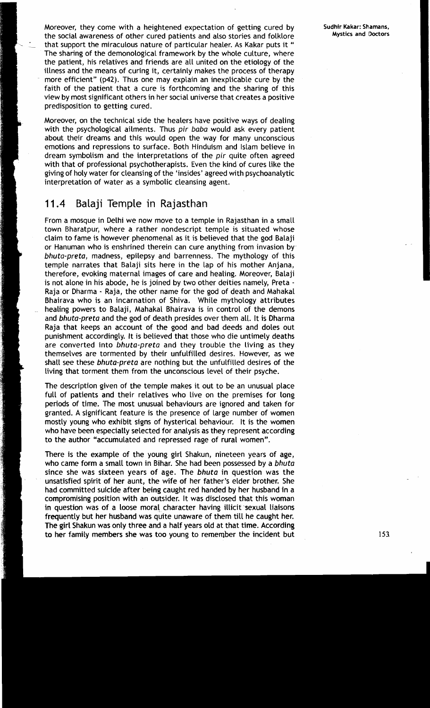Moreover, they come with a heightened expectation of getting cured by the social awareness of other cured patients and also stories and folklore that support the miraculous nature of particular healer. As Kakar puts it " The sharing of the demonological framework by the whole culture, where the patient, his relatives and friends are all united on the etiology of the illness and the means of curing it, certainly makes the process of therapy more efficient" **(p42).** Thus one may explain an inexplicable cure by the faith of the patient that a cure is forthcoming and the sharing of this view by most significant others in her social universe that creates a positive predisposition to getting cured.

Moreover, on the technical side the healers have positive ways of dealing with the psychological ailments. Thus pir baba would ask every patient about their dreams and this would open the way for many unconscious emotions and repressions to surface. Both Hinduism and Islam believe in dream symbolism and the interpretations of the pir quite often agreed with that of professional psychotherapists. Even the kind of cures like the giving of holy water for cleansing of the 'insides' agreed with psychoanalytic interpretation of water as a symbolic cleansing agent.

# 11.4 Balaji Temple in Rajasthan

From a mosque in Delhi we now move to a temple in Rajasthan in a small town Bharatpur, where a rather nondescript temple is situated whose claim to fame is however phenomenal as it is believed that the god Balaji or Hanuman who is enshrined therein can cure anything from invasion by bhuta-preta, madness, epilepsy and barrenness. The mythology of this temple narrates that Balaji sits here in the lap of his mother Anjana, therefore, evoking maternal images of care and healing. Moreover, Balaji is not alone in his abode, he is joined by two other deities namely, Preta - Raja or Dharma - Raja, the other name for the god of death and Mahakal Bhairava who is an incarnation of Shiva. While mythology attributes healing powers to Balaji, Mahakal Bhairava is in control of the demons and bhuta-preta and the god of death presides over them all. It is Dharma Raja that keeps an account of the good and bad deeds and doles out punishment accordingly. It is believed that those who die untimely deaths are converted into bhuta-preta and they trouble the living as they themselves are tormented by their unfulfilled desires. However, as we shall see these bhuta-preta are nothing but the unfulfilled desires of the living that torment them from the unconscious level of their psyche.

The description given of the temple makes it out to be an unusual place full of patients and their relatives who live on the premises for long periods of time. The most unusual behaviours are ignored and taken for granted. A significant feature is the presence of large number of women mostly young who exhibit signs of hysterical behaviour. It is the women who have been especially selected for analysis as they represent according to the author "accumulated and repressed rage of rural women".

There is the example of the young girl Shakun, nineteen years of age, who came form a small town in Bihar. She had been possessed by a bhuta since she was sixteen years of age. The bhuta in question was the unsatisfied spirit of her aunt, the wife of her father's elder brother. She had committed suicide after being caught red handed by her husband in a compromising position with an outsider. It was disclosed that this woman in question was of a loose moral character having illicit sexual liaisons frequently but her husband was quite unaware of them till he caught her. The girl Shakun was only three and a half years old at that time. According to her family members she was too young to remember the incident but **153**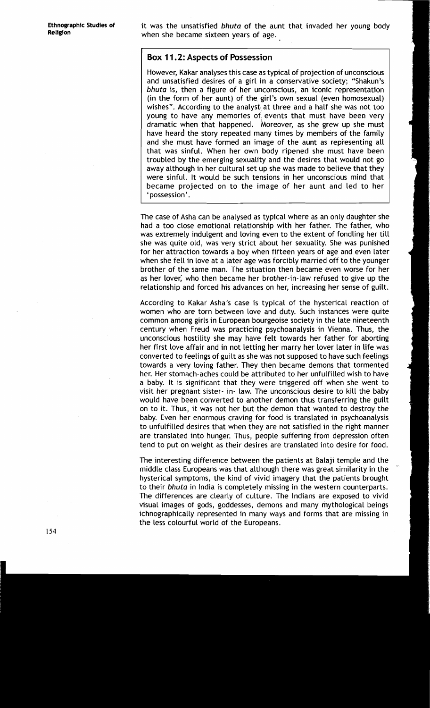**Ethnographic Studies of** it was the unsatisfied **bhuta** of the aunt that invaded her young body **Religion** when she became sixteen years of age.

#### **Box 1 1.2: Aspects of Possession**

However, Kakar analyses this case as typical of projection of unconscious and unsatisfied desires of a girl in a conservative society; "Shakun's **bhuta** is, then a figure of her unconscious, an iconic representation (in the form of her aunt) of the girl's own sexual (even homosexual) wishes". According to the analyst at three and a half she was not too young to have any memories of events that must have been very dramatic when that happened. Moreover, as she grew up she must have heard the story repeated many times by members of the family and she must have formed an image of the aunt as representing all that was sinful. When her own body ripened she must have been troubled by the emerging sexuality and the desires that would not go away although in her cultural set up she was made to believe that they were sinful. It would be such tensions in her unconscious mind that became projected on to the image of her aunt and led to her ' possession'.

The case of Asha can be analysed as typical where as an only daughter she had a too close emotional relationship with her father. The father, who was extremely indulgent and loving even to the extent of fondling her till she was quite old, was very strict about her sexuality. She was punished for her attraction towards a boy when fifteen years of age and even later when she fell in love at a later age was forcibly married off to the younger brother of the same man. 'The situation then became even worse for her as her lover; who then became her brother-in-law refused to give up the relationship and forced his advances on her, increasing her sense of guilt.

According to Kakar Asha's case is typical of the hysterical reaction of women who are torn between love and duty. Such instances were quite common among girls in European bourgeoise society in the late nineteenth century when Freud was practicing psychoanalysis in Vienna. Thus, the unconscious hostility she may have felt towards her father for aborting her first love affair and in not letting her marry her lover later in life was converted to feelings of guilt as she was not supposed to have such feelings towards a very loving father. They then became demons that tormented her. Her stomach-aches could be attributed to her unfulfilled wish to have a baby. It is significant that they were triggered off when she went to visit her pregnant sister- in- law. The unconscious desire to kill the baby would have been converted to another demon thus transferring the guilt on to it. Thus, it was not her but the demon that wanted to destroy the baby. Even her enormous craving for food is translated in psychoanalysis to unfulfilled desires that when they are not satisfied in the right manner are translated into hunger. Thus, people suffering from depression often tend to put on weight as their desires are translated into desire for food.

The interesting difference between the patients at Balaji temple and the middle class Europeans was that although there was great similarity in the ' hysterical symptoms, the kind of vivid imagery that the patients brought to their **bhuta** in India is completely missing in the western counterparts. The differences are clearly of culture. The Indians are exposed to vivid visual images of gods, goddesses, demons and many mythological beings ichnographically represented in many ways and forms that are missing in the less colourful world of the Europeans.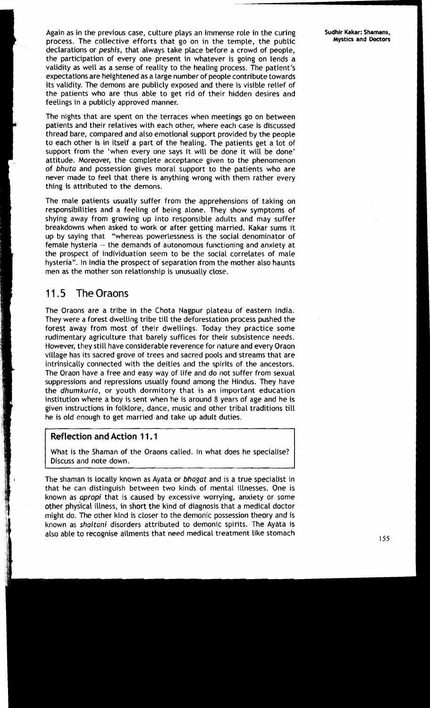Again as in the previous case, culture plays an immense role in the curing Sudhir Kakar: Shamans, Again as in the temple the public Mystics and Doctors process. The collective efforts that go on in the temple, the public declarations or peshis, that always take place before a crowd of people, the participation of every one present in whatever is going on lends a validity as well as a sense of reality to the healing process. The patient's expectations are heightened as a large number of people contribute towards its validity. The demons are publicly exposed and there is visible relief of the patients who are thus able to get rid of their hidden desires and feelings in a publicly approved manner.

The nights that are spent on the terraces when meetings go on between patients and their relatives with each other, where each case is discussed thread bare, compared and also emotional support provided by the people to each other is in itself a part of the healing. The patients get a lot of support from the 'when every one says it will be done it will be done' attitude. Moreover, the complete acceptance given to the phenomenon of bhuta and possession gives moral support to the patients who are never made to feel that there is anything wrong with them rather every thing is attributed to the demons.

The male patients usually suffer from the apprehensions of taking on responsibilities and a feeling of being alone. They show symptoms of shying away from growing up into responsible adults and may suffer breakdowns when asked to work or after getting married. Kakar sums it up by saying that "whereas powerlessness is the social denominator of female hysteria  $-$  the demands of autonomous functioning and anxiety at the prospect of individuation seem to be the social correlates of male hysteria". In India the prospect of separation from the mother also haunts men as the mother son relationship is unusually close.

# **1** 1.5 The Oraons

The Oraons are a tribe in the Chota Nagpur plateau of eastern India. They were a forest dwelling tribe till the deforestation process pushed the forest away from most of their dwellings. Today they practice some rudimentary agriculture that barely suffices for their subsistence needs. However, they still have considerable reverence for nature and every Oraon village has its sacred grove of trees and sacred pools and streams that are intrinsically connected with the deities and the spirits of the ancestors. The Oraon have a free and easy way of life and do not suffer from sexual suppressions and repressions usually found among the Hindus. They have the dhumkuria, or youth dormitory that is an important education institution where a boy is sent when he is around 8 years of age and he is given instructions in folklore, dance, music and other tribal traditions till he is old enough to get married and take up adult duties.

#### **Reflection and Action 1 1.1**

What is the Shaman of the Oraons called. In what does he specialise? Discuss and note down.

The shaman is Locally known as Ayata or bhagat and is a true specialist in that he can distinguish between two kinds of mental illnesses. One is known as apropi that is caused by excessive worrying, anxiety or some other physical illness, in short the kind of diagnosis that a medical doctor might do. The other kind is closer to the demonic possession theory and is known as shaitani disorders attributed to demonic spirits. The Ayata is also able to recognise ailments that need medical treatment like stomach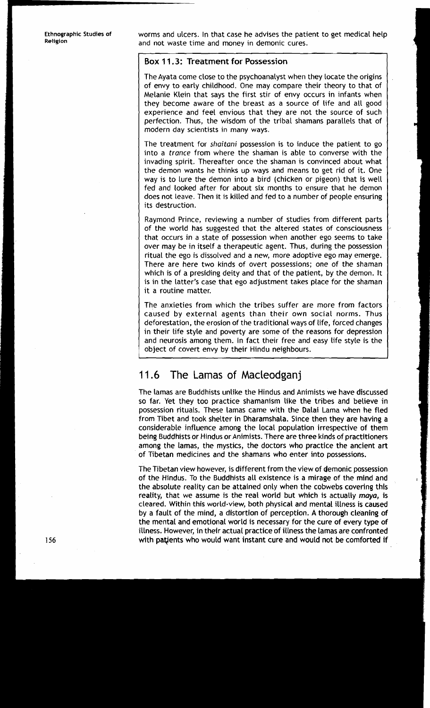i<br>I

**Ethnographic Studies of** worms and ulcers. In that case he advises the patient to get medical help and not waste time and money in demonic cures.

#### **Box 11.3: Treatment for Possession**

The Ayata come close to the psychoanalyst when they locate the origins of envy to early childhood. One may compare their theory to that of Melanie Klein that says the first stir of envy occurs in infants when they become aware of the breast as a source of life and all good experience and feel envious that they are not the source of such perfection. Thus, the wisdom of the tribal shamans parallels that of modern day scientists in many ways.

The treatment for **shaitani** possession is to induce the patient to go into a **trance** from where the shaman is able to converse with the invading spirit. Thereafter once the shaman is convinced about what the demon wants he thinks up ways and means to get rid of it. One way is to lure the demon into a bird (chicken or pigeon) that is well fed and looked after for about six months to ensure that he demon does not Leave. Then it is killed and fed to a number of people ensuring its destruction.

Raymond Prince, reviewing a number of studies from different parts of the world has suggested that the altered states of consciousness that occurs in a state of possession when another ego seems to take over may be in itself a therapeutic agent. Thus, during the possession ritual the ego is dissolved and a new, more adoptive ego may emerge. There are here two kinds of overt possessions; one of the shaman which is of a presiding deity and that of the patient, by the demon. It is in the latter's case that ego adjustment takes place for the shaman it a routine matter.

The anxieties from which the tribes suffer are more from factors caused by external agents than their own social norms. Thus deforestation, the erosion of the traditional ways of life, forced changes in their life style and poverty are some of the reasons for depression and neurosis among them. In fact their free and easy life style is the object of covert envy by their Hindu neighbours.

# 11.6 The Lamas of Macleodganj

The lamas are Buddhists unlike the Hindus and Animists we have discussed so far. Yet they too practice shamanism like the tribes and believe in possession rituals. 'These lamas came with the Dalai Lama when he fled from Tibet and took shelter in Dharamshala. Since then they are having a considerable influence among the local population irrespective of them being Buddhists or Hindus or Animists. There are three kinds of practitioners among the lamas, the mystics, the doctors who practice the ancient art of Tibetan medicines and the shamans who enter into possessions.

The Tibetan view however, is different from the view of demonic possession of the Hindus. To the Buddhists all existence is a mirage of the mind and the absolute reality can be attained only when the cobwebs covering this reality, that we assume is the real world but which is actually maya, is cleared. Within this world-view, both physical and mental illness is caused by a fault of the mind, a distortion of perception. **A** thorough cleaning of the mental and emotional world is necessary for the cure of every type of illness. However, in their actual practice of illness the lamas are confronted with patjents who would want instant cure and would not be comforted if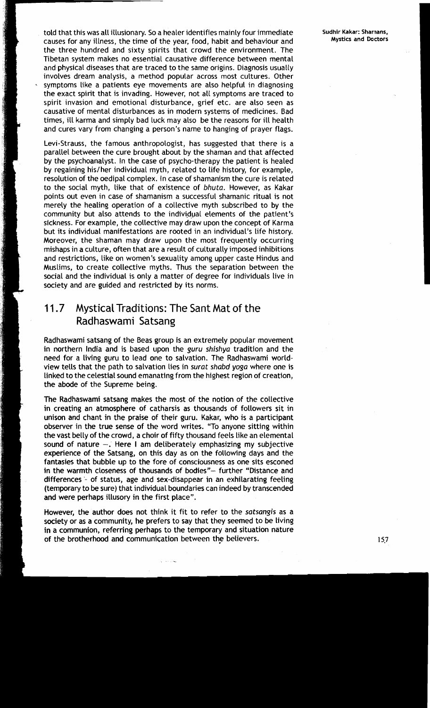told that this was all illusionary. So a healer identifies mainly four immediate **Sudhir Kakar: Sharnans, Sudhir Kakar: Sharnans, Causes** for any illness, the time of the year, food, babit and bebayiour and **Mystics** a causes for any illness, the time of the year, food, habit and behaviour and **Mystics and Doctors**  the three hundred and sixty spirits that crowd the environment. The Tibetan system makes no essential causative difference between mental and physical diseases that are traced to the same origins. Diagnosis usually involves dream analysis, a method popular across most cultures. Other symptoms like a patients eye movements are also helpful in diagnosing the exact spirit that is invading. However, not all symptoms are traced to spirit invasion and emotional disturbance, grief etc. are also seen as causative of mental disturbances as in modern systems of medicines. Bad times, ill karma and simply bad luck may also be the reasons for ill health and cures vary from changing a person's name to hanging of prayer flags.

Levi-Strauss, the famous anthropologist, has suggested that there is a parallel between the cure brought about by the shaman and that affected by the psychoanalyst. In the case of psycho-therapy the patient is healed by regaining his/her individual myth, related to life history, for example, resolution of the oedipal complex. In case of shamanism the cure is related to the social myth, like that of existence of **bhuta.** However, as Kakar points out even in case of shamanism a successful shamanic ritual is not merely the healing operation of a collective myth subscribed to by the community but also attends to the individual elements of the patient's sickness. For example, the collective may draw upon the concept of Karma but its individual manifestations are rooted in an individual's life history. Moreover, the shaman may draw upon the most frequently occurring mishaps in a culture, often that are a result of culturally imposed inhibitions and restrictions, like on women's sexuality among upper caste Hindus and Muslims, to create collective myths. Thus the separation between the social and the individual is only a matter of degree for individuals live in society and are guided and restricted by its norms.

# 11.7 Mystical Traditions: The Sant Mat of the Radhaswami Satsang

Radhaswami satsang of the Beas group is an extremely popular movement in northern India and is based upon the **guru shishya** tradition and the need for a living guru to lead one to salvation. The Radhaswami worldview tells that the path to salvation lies in **surat shabd yoga** where one is linked to the celestial sound emanating from the highest region of creation, the abode of the Supreme being.

The Radhaswami satsang makes the most of the notion of the collective in creating an atmosphere of catharsis as thousands of followers sit in unison and chant in the praise of their guru. Kakar, who is a participant observer in the true sense of the word writes. "To anyone sitting within the vast belly of the crowd, a choir of fifty thousand feels like an elemental sound of nature  $-$ . Here I am deliberately emphasizing my subjective experience of the Satsang, on this day as on the following days and the fantasies that bubble up to the fore of consciousness as one sits esconed in the warmth closeness of thousands of bodies"- further "Distance and differences '- of status, age and sex-disappear in an exhilarating feeling (temporary to be sure) that individual boundaries can indeed by transcended and were perhaps illusory in the first place".

However, the author does not think it fit to refer to the **satsangis** as a society or as a community, he prefers to say that they seemed to be living in a communion, referring perhaps to the temporary and situation nature of the brotherhood and communication between the believers. **15.7 15.7**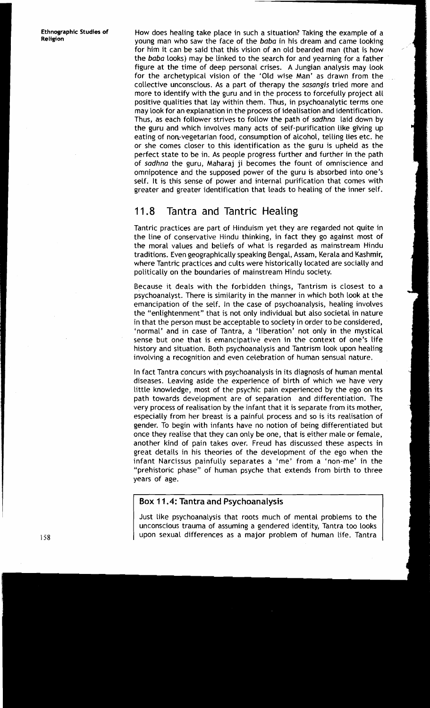How does healing take place in such a situation? Taking the example of a young man who saw the face of the **baba** in his dream and came looking for him it can be said that this vision of an old bearded man (that is how the **baba** looks) may be linked to the search for and yearning for a father figure at the time of deep personal crises. A Jungian analysis may look for the archetypical vision of the 'Old wise Man' as drawn from the collective unconscious. As a part of therapy the **sasangis** tried more and more to identify with the guru and in the process to forcefully project all positive qualities that lay within them. Thus, in psychoanalytic terms one may look for an explanation in the process of idealisation and identification. Thus, as each follower strives to follow the path of **sadhna** laid down by the guru and which involves many acts of self-purification like giving up eating of non-vegetarian food, consumption of alcohol, telling lies etc. he or she comes closer to this identification as the guru is upheld as the perfect state to be in. As people progress further and further in the path of **sadhna** the guru, Maharaj ji becomes the fount of omniscience and omnipotence and the supposed power of the guru is absorbed into one's self. It is this sense of power and internal purification that comes with greater and greater identification that leads to healing of the inner self.

# 11.8 Tantra and Tantric Healing

Tantric practices are part of Hinduism yet they are regarded not quite in the line of conservative Hindu thinking, in fact they go against most of the moral values and beliefs of what is regarded as mainstream Hindu traditions. Even geographically speaking Bengal, Assam, Kerala and Kashmir, where Tantric practices and cults were historically located are socially and politically on the boundaries of mainstream Hindu society.

Because it deals with the forbidden things, Tantrism is closest to a psychoanalyst. There is similarity in the manner in which both look at the emancipation of the self. In the case of psychoanalysis, healing involves the "enlightenment" that is not only individual but also societal in nature in that the person must be acceptable to society in order to be considered, 'normal' and in case of Tantra, a 'liberation' not only in the mystical sense but one that is emancipative even in the context of one's life history and situation. Both psychoanalysis and Tantrism look upon healing involving a recognition and even celebration of human sensual nature.

In fact Tantra concurs with psychoanalysis in its diagnosis of human mental diseases. Leaving aside the experience of birth of which we have very little knowledge, most of the psychic pain experienced by the ego on its path towards development are of separation and differentiation. The very process of realisation by the infant that it is separate from its mother, especially from her breast is a painful process and so is its realisation of gender. To begin with infants have no notion of being differentiated but once they realise that they can only be one, that is either male or female, another kind of pain takes over. Freud has discussed these aspects in great details in his theories of the development of the ego when the infant Narcissus painfully separates a 'me' from a 'non-me' in the "prehistoric phase" of human psyche that extends from birth to three years of age.

### **Box 1 1.4: Tantra and Psychoanalysis**

Just like psychoanalysis that roots much of mental problems to the unconscious trauma of assuming a gendered identity, Tantra too looks upon sexual differences as a major problem of human life. Tantra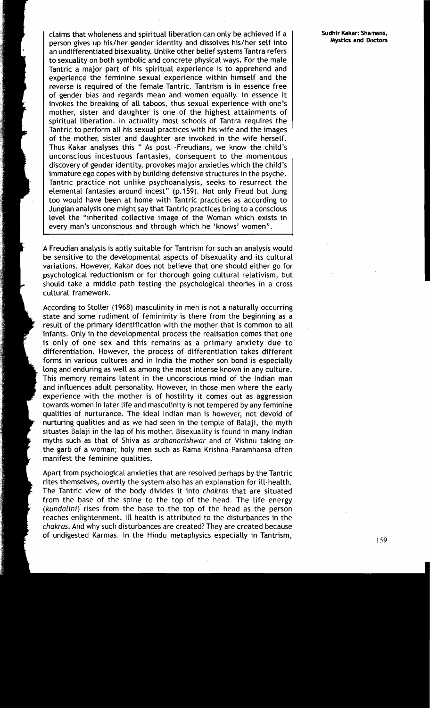claims that wholeness and spiritual liberation can only be achieved if a person gives up his/her gender identity and dissolves his/her self into an undifferentiated bisexuality. Unlike other belief systems Tantra refers to sexuality on both symbolic and concrete physical ways. For the male Tantric a major part of his spiritual experience is to apprehend and experience the feminine sexual experience within himself and the reverse is required of the female Tantric. Tantrism is in essence free of gender bias and regards mean and women equally. In essence it invokes the breaking of all taboos, thus sexual experience with one's mother, sister and daughter is one of the highest attainments of spiritual liberation. In actuality most schools of Tantra requires the Tantric to perform all his sexual practices with his wife and the images of the mother, sister and daughter are invoked in the wife herself. Thus Kakar analyses this " As post -Freudians, we know the child's unconscious incestuous fantasies, consequent to the momentous discovery of gender identity, provokes major anxieties which the child's immature ego copes with by building defensive structures in the psyche. Tantric practice not unlike psychoanalysis, seeks to resurrect the elemental fantasies around incest" (p.159). Not only Freud but Jung too would have been at home with Tantric practices as according to Jungian analysis one might say that Tantric practices bring to a conscious level the "inherited collective image of the Woman which exists in every man's unconscious and through which he 'knows' women".

A Freudian analysis is aptly suitable for Tantrism for such an analysis would be sensitive to the developmental aspects of bisexuality and its cultural variations. However, Kakar does not believe that one should either go for psychological reductionism or for thorough going cultural relativism, but should take a middle path testing the psychological theories in a cross cultural framework.

According to Stoller (1968) masculinity in men is not a naturally occurring state and some rudiment of femininity is there from the beginning as a result of the primary identification with the mother that is common to all infants. Only in the developmental process the realisation comes that one is only of one sex and this remains as a primary anxiety due to differentiation. However, the process of differentiation takes different forms in various cultures and in India the mother son bond is especially long and enduring as well as among the most intense known in any culture. This memory remains latent in the unconscious mind of the lndian man and influences adult personality. However, in those men where the early experience with the mother is of hostility it comes out as aggression towards women in later life and masculinity is not tempered by any feminine qualities of nurturance. The ideal Indian man is however, not devoid of nurturing qualities and as we had seen in the temple of Balaji, the myth situates Balaji in the lap of his mother. Bisexuality is found in many lndian myths such as that of Shiva as ardhanarishwar and of Vishnu taking on the garb of a woman; holy men such as Rama Krishna Paramhansa often manifest the feminine qualities.

Apart from psychological anxieties that are resolved perhaps by the Tantric rites themselves, overtly the system also has an explanation for ill-health. The Tantric view of the body divides it into chakras that are situated from the base of the spine to the top of the head. The life energy (kundalini) rises from the base to the top of the head as the person reaches enlightenment. Ill health is attributed to the disturbances in the chakras. And why such disturbances are created? They are created because of undigested Karmas. In the Hindu metaphysics especially in Tantrism,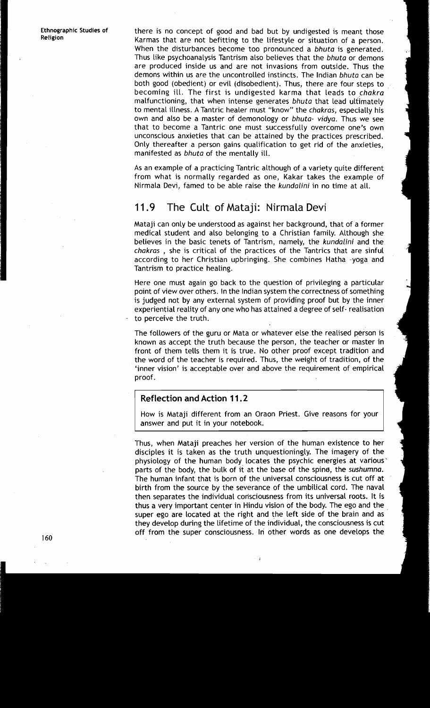**Ethnographic Studies of Religion** 

there is no concept of good and bad but by undigested is meant those Karmas that are not befitting to the lifestyle or situation of a person. When the disturbances become too pronounced a **bhuta** is generated. Thus like psychoanalysis Tantrism also believes that the **bhuta** or demons are produced inside us and are not invasions from outside. Thus the demons within us are the uncontrolled instincts. The Indian **bhuta** can be both good (obedient) or evil (disobedient). Thus, there are four steps to becoming ill. The first is undigested karma that leads to **chakra**  malfunctioning, that when intense generates **bhuta** that lead ultimately to mental illness. A Tantric healer must "know" the **chakras,** especially his own and also be a master of demonology or **bhuta- vidya.** Thus we see that to become a Tantric one must successfully overcome one's own unconscious anxieties that can be attained by the practices prescribed. Only thereafter a person gains qualification to get rid of the anxieties, manifested as **bhuta** of the mentally ill.

As an example of a practicing Tantric although of a variety quite different from what is normally regarded as one, Kakar takes the example of Nirmala Devi, famed to be able raise the **kundalini** in no time at all.

## 11.9 The Cult of Mataji: Nirmala Devi

Mataji can only be understood as against her background, that of a former medical student and also belonging to a Christian family. Although she believes in the basic tenets of Tantrism, namely, the **kundalini** and the **chakras** , she is critical of the practices of the Tantrics that are sinful according to her Christian upbringing. She combines Hatha -yoga and Tantrism to practice healing.

Here one must again go back to the question of privileging a particular point of view over others. In the Indian system the correctness of something is judged not by any external system of providing proof but by the inner experiential reality of any one who has attained a degree of self- realisation to perceive the truth.

The followers of the guru or Mata or whatever else the realised person is known as accept the truth because the person, the teacher or master in front of them tells them it is true. No other proof except tradition and the word of the teacher is required. Thus, the weight of tradition, of the 'inner vision' is acceptable over and above the requirement of empirical proof.

#### **Reflection and Action 1 1 .2**

How is Mataji different from an Oraon Priest. Give reasons for your answer and put it in your notebook.

Thus, when Mataji preaches her version of the human existence to her disciples it is taken as the truth unquestioningly. The imagery of the physiology of the human body locates the psychic energies at various parts of the body, the bulk of it at the base of the spine, the **sushumna.**  The human infant that is born of the universal consciousness is cut off at birth from the source by the severance of the umbilical cord. The naval then separates the individual consciousness from its universal roots. It is thus a very important center in Hindu vision of the body. The ego and the super ego are located at the right and the left side of the brain and as they develop during the lifetime of the individual, the consciousness is cut off from the super consciousness. In other words as one develops the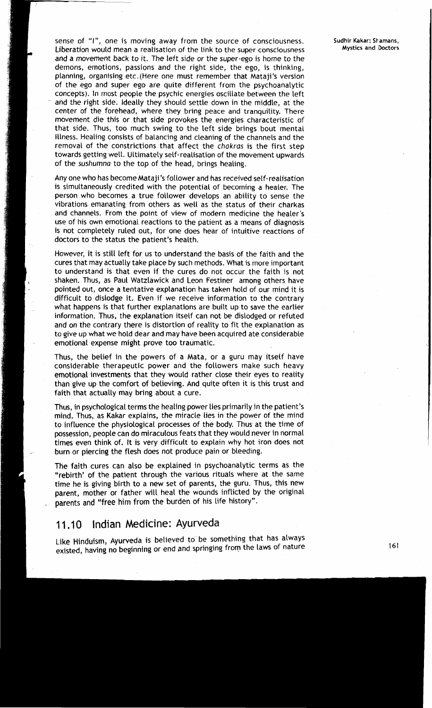sense of "I", one is moving away from the source of consciousness. Liberation would mean a realisation of the link to the super consciousness and a movement back to it. The left side or the super-ego is home to the demons, emotions, passions and the right side, the ego, is thinking, planning, organising etc.(Here one must remember that Mataji's version of the ego and super ego are quite different from the psychoanalytic concepts). In most people the psychic energies oscillate between the left and the right side. Ideally they should settle down in the middle, at the center of the forehead, where they bring peace and tranquility. There movement die this or that side provokes the energies characteristic of that side. Thus, too much swing to the left side brings bout mental illness. Healing consists of balancing and cleaning of the channels and the removal of the constrictions that affect the **chakras** is the first step towards getting well. Ultimately self-realisation of the movement upwards of the **sushumna** to the top of the head, brings healing.

Any one who has become Mataji's follower and has received self-realisation is simultaneously credited with the potential of becoming a healer. The person who becomes a true follower develops an ability to sense the vibrations emanating from others as well as the status of their charkas and channels. From the point of view of modern medicine the healer's use of his own emotional reactions to the patient as a means of diagnosis is not completely ruled out, for one does hear of intuitive reactions of doctors to the status the patient's health.

However, it is still left for us to understand the basis of the faith and the cures that may actually take place by such methods. What is more important to understand is that even if the cures do not occur the faith is not shaken. Thus, as Paul Watzlawick and Leon Festiner among others have pointed out, once a tentative explanation has taken hold of our mind it is difficult to dislodge it. Even if we receive information to the contrary what happens is that further explanations are built up to save the earlier information. Thus, the explanation itself can not be dislodged or refuted and on the contrary there is distortion of reality to fit the explanation as to give up what we hold dear and may have been acquired ate considerable emotional expense might prove too traumatic.

Thus, the belief in the powers of a Mata, or a guru may itself have considerable therapeutic power and the followers make such heavy emotional investments that they would rather close their eyes to reality than give up the comfort of believing. And quite often it is this trust and faith that actually may bring about a cure.

Thus, in psychological terms the healing power lies primarily in the patient's mind. Thus, as Kakar explains, the miracle lies in the power of the mind to influence the physiological processes of the body. Thus at the time of possession, people can do miraculous feats that they would never in normal times even think of. It is very difficult to explain why hot iron does not burn or piercing the flesh does not produce pain or bleeding.

The faith cures can also be explained in psychoanalytic terms as the "rebirth' of the patient through the various rituals where at the same time he is giving birth to a new set of parents, the guru. Thus, this new parent, mother or father will heal the wounds inflicted by the original parents and "free him from the burden of his life history".

# 11.10 Indian Medicine: Ayurveda

Like Hinduism, Ayurveda is believed to be something that has always existed, having no beginning or end and springing from the laws of nature **161** and springing from the laws of nature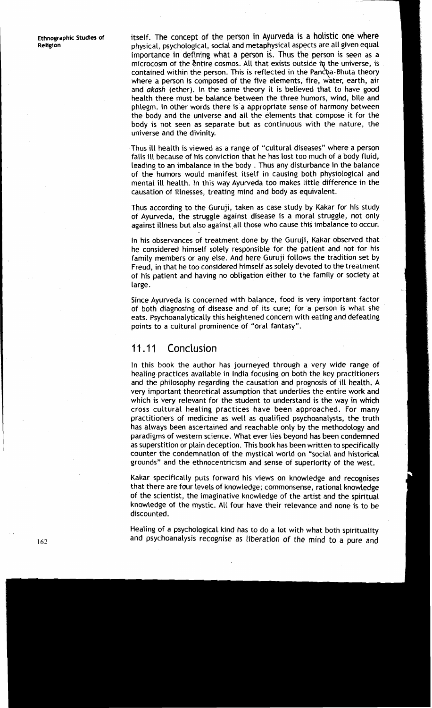**Ethnoqraphic Studies of Religion** 

itself. The concept of the person in Ayurveda is a holistic one where physical, psychological, social and metaphysical aspects are all given equal importance in defining what a person *6.* Thus the person is seen as a microcosm of the entire cosmos. All that exists outside in the universe, is contained within the person. This is reflected in the Pancha-Bhuta theory where a person is composed of the five elements, fire, water, earth, air and akash (ether). In the same theory it is believed that to have good health there must be balance between the three humors, wind, bile and phlegm. In other words there is a appropriate sense of harmony between the body and the universe and all the elements that compose it for the body is not seen as separate but as continuous with the nature, the universe and the divinity.

Thus ill health is viewed as a range of "cultural diseases" where a person falls ill because of his conviction that he has lost too much of a body fluid, leading to an imbalance in the body . Thus any disturbance in the balance of the humors would manifest itself in causing both physiological and mental ill health. In this way Ayurveda too makes little difference in the causation of illnesses, treating mind and body as equivalent.

Thus according to the Guruji, taken as case study by Kakar for his study of Ayurveda, the struggle against disease is a moral struggle, not only against illness but also against all those who cause this imbalance to occur.

In his observances of treatment done by the Guruji, Kakar observed that he considered himself solely responsible for the patient and not for his family members or any else. And here Guruji follows the tradition set by Freud, in that he too considered himself as solely devoted to the treatment of his patient and having no obligation either to the family or society at large.

Since Ayurveda is concerned with balance, food is very important factor of both diagnosing of disease and of its cure; for a person is what she eats. Psychoanalytically this heightened concern with eating and defeating points to a cultural prominence of "oral fantasy".

# 11.11 Conclusion

In this book the author has journeyed through a very wide range of healing practices available in India focusing on both the key practitioners and the philosophy regarding the causation and prognosis of ill health. A very important theoretical assumption that underlies the entire work and which is very relevant for the student to understand is the way in which cross cultural healing practices have been approached. For many practitioners of medicine as well as qualified psychoanalysts, the truth has always been ascertained and reachable only by the methodology and paradigms of western science. What ever lies beyond has been condemned as superstition or plain deception. This book has been written to specifically counter the condemnation of the mystical world on "social and historical grounds" and the ethnocentricism and sense of superiority of the west.

Kakar specifically puts forward his views on knowledge and recognises that there are four levels of knowledge; commonsense, rational knowledge of the scientist, the imaginative knowledge of the artist and the spiritual knowledge of the mystic. All four have their relevance and none is to be discounted.

Healing of a psychological kind has to do a lot with what both spirituality and psychoanalysis recognise as liberation of the mind to a pure and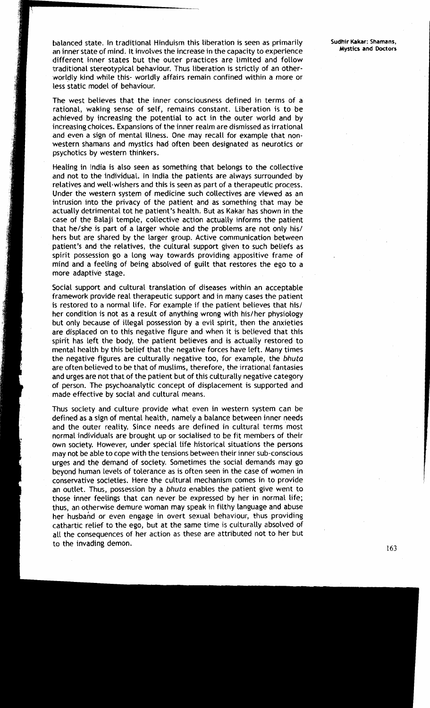balanced state. In traditional Hinduism this liberation is seen as primarily **Sudhir Kakar: Shamans, Sudhir Kakar: Shamans**, *no innor state of mind. It involves the inseresse in the samacity to experience* **<b>Mystics and zm** inner state of mind. It involves the increase in the capacity to experience **Mystics and Doctors**  different inner states but the outer practices are limited and follow traditional stereotypical behaviour. Thus liberation is strictly of an otherworldly kind while this- worldly affairs remain confined within a more or less static model of behaviour.

The west believes that the inner consciousness defined in terms of a rational, waking sense of self, remains constant. Liberation is to be achieved by increasing the potential to act in the outer world and by increasing choices. Expansions of the inner realm are dismissed as irrational and even a sign of mental illness. One may recall for example that nonwestern shamans and mystics had often been designated as neurotics or psychotics by western thinkers.

Healing in lndia is also seen as something that belongs to the collective and not to the individual. In lndia the patients are always surrounded by relatives and well-wishers and this is seen as part of a therapeutic process. Under the western system of medicine such collectives are viewed as an intrusion into the privacy of the patient and as something that may be actually detrimental tot he patient's health. But as Kakar has shown in the case of the Balaji temple, collective action actually informs the patient that he/she is part of a larger whole and the problems are not only his/ hers but are shared by the larger group. Active communication between patient's and the relatives, the cultural support given to such beliefs as spirit possession go a long way towards providing appositive frame of mind and a feeling of being absolved of guilt that restores the ego to a more adaptive stage.

Social support and cultural translation of diseases within an acceptable framework provide real therapeutic support and in many cases the patient is restored to a normal life. For example if the patient believes that his/ her condition is not as a result of anything wrong with his/her physiology but only because of illegal possession by a evil spirit, then the anxieties<br>are displaced on to this negative figure and when it is believed that this<br>spirit has left the body, the patient believes and is actually restored I mental health by this belief that the negative forces have left. Many times the negative figures are culturally negative too, for example, the **bhuta**  are often believed to be that of muslims, therefore, the irrational fantasies and urges are not that of the patient but of this culturally negative category of person. The psychoanalytic concept of displacement is supported and made effective by social and cultural means.

> Thus society and culture provide what even in western system can be defined as a sign of mental health, namely a balance between inner needs and the outer reality. Since needs are defined in cultural terms most normal individuals are brought up or socialised to be fit members of their own society. However, under special life historical situations the persons may not be able to cope with the tensions between their inner sub-conscious urges and the demand of society. Sometimes the social demands may go beyond human levels of tolerance as is often seen in the case of women in conservative societies. Here the cultural mechanism comes in to provide an outlet. Thus, possession by a *bhuta* enables the patient give went to those inner feelings that can never be expressed by her in normal life; thus, an otherwise demure woman may speak in filthy language and abuse her husband or even engage in overt sexual behaviour, thus providing cathartic relief to the ego, but at the same time is culturally absolved of all the consequences of her action as these are attributed not to her but to the invading demon.